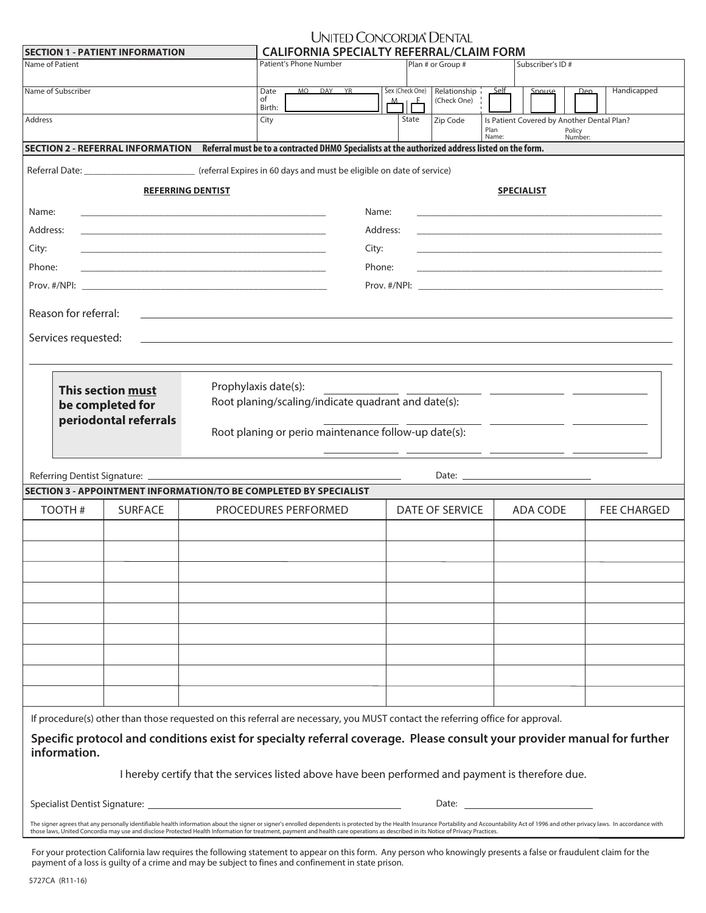| UNITED CONCORDIA® DENTAL             |  |
|--------------------------------------|--|
| EODNIA CDECIALTV DEEEDDAL ICLAIM EOI |  |

| <b>SECTION 1 - PATIENT INFORMATION</b>                                    |                                                                                                                                                                                                                                                                                                                                                                                                                     |                                                                                                   | <b>CALIFORNIA SPECIALTY REFERRAL/CLAIM FORM</b>                                                                                                                                                                                |        |                                              |       |                             |       |                                                                                                                  |                   |                                                                                                                                                                                                                               |  |
|---------------------------------------------------------------------------|---------------------------------------------------------------------------------------------------------------------------------------------------------------------------------------------------------------------------------------------------------------------------------------------------------------------------------------------------------------------------------------------------------------------|---------------------------------------------------------------------------------------------------|--------------------------------------------------------------------------------------------------------------------------------------------------------------------------------------------------------------------------------|--------|----------------------------------------------|-------|-----------------------------|-------|------------------------------------------------------------------------------------------------------------------|-------------------|-------------------------------------------------------------------------------------------------------------------------------------------------------------------------------------------------------------------------------|--|
| Name of Patient                                                           |                                                                                                                                                                                                                                                                                                                                                                                                                     |                                                                                                   | Patient's Phone Number                                                                                                                                                                                                         |        |                                              |       | Plan # or Group #           |       | Subscriber's ID#                                                                                                 |                   |                                                                                                                                                                                                                               |  |
| Name of Subscriber                                                        |                                                                                                                                                                                                                                                                                                                                                                                                                     |                                                                                                   | MO DAY YR<br>Date<br>of<br>Birth:                                                                                                                                                                                              |        | Sex (Check One)<br>$\mathbb{Z}$ $\mathbb{Z}$ |       | Relationship<br>(Check One) | Self  | Spouse                                                                                                           | Dep.              | Handicapped                                                                                                                                                                                                                   |  |
| Address                                                                   |                                                                                                                                                                                                                                                                                                                                                                                                                     |                                                                                                   | City                                                                                                                                                                                                                           |        |                                              | State | Zip Code                    | Plan  | Is Patient Covered by Another Dental Plan?                                                                       | Policy<br>Number: |                                                                                                                                                                                                                               |  |
|                                                                           | SECTION 2 - REFERRAL INFORMATION Referral must be to a contracted DHMO Specialists at the authorized address listed on the form.                                                                                                                                                                                                                                                                                    |                                                                                                   |                                                                                                                                                                                                                                |        |                                              |       |                             | Name: |                                                                                                                  |                   |                                                                                                                                                                                                                               |  |
|                                                                           |                                                                                                                                                                                                                                                                                                                                                                                                                     |                                                                                                   |                                                                                                                                                                                                                                |        |                                              |       |                             |       |                                                                                                                  |                   |                                                                                                                                                                                                                               |  |
|                                                                           |                                                                                                                                                                                                                                                                                                                                                                                                                     | <b>REFERRING DENTIST</b>                                                                          |                                                                                                                                                                                                                                |        |                                              |       |                             |       | <b>SPECIALIST</b>                                                                                                |                   |                                                                                                                                                                                                                               |  |
| Name:                                                                     | the control of the control of the control of the control of the control of the control of                                                                                                                                                                                                                                                                                                                           |                                                                                                   |                                                                                                                                                                                                                                | Name:  |                                              |       |                             |       |                                                                                                                  |                   |                                                                                                                                                                                                                               |  |
| Address:                                                                  | the control of the control of the control of the control of the control of the control of                                                                                                                                                                                                                                                                                                                           |                                                                                                   |                                                                                                                                                                                                                                |        | Address:                                     |       |                             |       | and the control of the control of the control of the control of the control of the control of the control of the |                   |                                                                                                                                                                                                                               |  |
| City:                                                                     |                                                                                                                                                                                                                                                                                                                                                                                                                     | <u> 1989 - Johann Stoff, amerikansk politiker (* 1908)</u>                                        |                                                                                                                                                                                                                                | City:  |                                              |       |                             |       |                                                                                                                  |                   |                                                                                                                                                                                                                               |  |
| Phone:                                                                    | the control of the control of the control of the control of the control of the control of                                                                                                                                                                                                                                                                                                                           |                                                                                                   |                                                                                                                                                                                                                                | Phone: |                                              |       |                             |       |                                                                                                                  |                   | the control of the control of the control of the control of the control of the control of the control of the control of the control of the control of the control of the control of the control of the control of the control |  |
|                                                                           |                                                                                                                                                                                                                                                                                                                                                                                                                     |                                                                                                   |                                                                                                                                                                                                                                |        |                                              |       |                             |       |                                                                                                                  |                   |                                                                                                                                                                                                                               |  |
|                                                                           |                                                                                                                                                                                                                                                                                                                                                                                                                     |                                                                                                   |                                                                                                                                                                                                                                |        |                                              |       |                             |       |                                                                                                                  |                   |                                                                                                                                                                                                                               |  |
| Reason for referral:                                                      |                                                                                                                                                                                                                                                                                                                                                                                                                     |                                                                                                   |                                                                                                                                                                                                                                |        |                                              |       |                             |       |                                                                                                                  |                   |                                                                                                                                                                                                                               |  |
| Services requested:                                                       |                                                                                                                                                                                                                                                                                                                                                                                                                     |                                                                                                   |                                                                                                                                                                                                                                |        |                                              |       |                             |       |                                                                                                                  |                   |                                                                                                                                                                                                                               |  |
|                                                                           |                                                                                                                                                                                                                                                                                                                                                                                                                     |                                                                                                   |                                                                                                                                                                                                                                |        |                                              |       |                             |       |                                                                                                                  |                   |                                                                                                                                                                                                                               |  |
|                                                                           | This section must                                                                                                                                                                                                                                                                                                                                                                                                   | Prophylaxis date(s):                                                                              |                                                                                                                                                                                                                                |        |                                              |       |                             |       | <u> 2008 - Jan Barbara Barbara, poet</u>                                                                         |                   |                                                                                                                                                                                                                               |  |
|                                                                           | be completed for                                                                                                                                                                                                                                                                                                                                                                                                    |                                                                                                   | Root planing/scaling/indicate quadrant and date(s):                                                                                                                                                                            |        |                                              |       |                             |       |                                                                                                                  |                   |                                                                                                                                                                                                                               |  |
|                                                                           | periodontal referrals                                                                                                                                                                                                                                                                                                                                                                                               |                                                                                                   |                                                                                                                                                                                                                                |        |                                              |       |                             |       |                                                                                                                  |                   |                                                                                                                                                                                                                               |  |
|                                                                           |                                                                                                                                                                                                                                                                                                                                                                                                                     |                                                                                                   | Root planing or perio maintenance follow-up date(s):                                                                                                                                                                           |        |                                              |       |                             |       |                                                                                                                  |                   |                                                                                                                                                                                                                               |  |
|                                                                           |                                                                                                                                                                                                                                                                                                                                                                                                                     |                                                                                                   |                                                                                                                                                                                                                                |        |                                              |       |                             |       |                                                                                                                  |                   |                                                                                                                                                                                                                               |  |
|                                                                           |                                                                                                                                                                                                                                                                                                                                                                                                                     |                                                                                                   |                                                                                                                                                                                                                                |        |                                              |       |                             |       |                                                                                                                  |                   |                                                                                                                                                                                                                               |  |
|                                                                           | <b>SECTION 3 - APPOINTMENT INFORMATION/TO BE COMPLETED BY SPECIALIST</b>                                                                                                                                                                                                                                                                                                                                            |                                                                                                   |                                                                                                                                                                                                                                |        |                                              |       |                             |       |                                                                                                                  |                   |                                                                                                                                                                                                                               |  |
| TOOTH#                                                                    | <b>SURFACE</b>                                                                                                                                                                                                                                                                                                                                                                                                      |                                                                                                   | PROCEDURES PERFORMED                                                                                                                                                                                                           |        |                                              |       | DATE OF SERVICE             |       | ADA CODE                                                                                                         |                   | <b>FEE CHARGED</b>                                                                                                                                                                                                            |  |
|                                                                           |                                                                                                                                                                                                                                                                                                                                                                                                                     |                                                                                                   |                                                                                                                                                                                                                                |        |                                              |       |                             |       |                                                                                                                  |                   |                                                                                                                                                                                                                               |  |
|                                                                           |                                                                                                                                                                                                                                                                                                                                                                                                                     |                                                                                                   |                                                                                                                                                                                                                                |        |                                              |       |                             |       |                                                                                                                  |                   |                                                                                                                                                                                                                               |  |
|                                                                           |                                                                                                                                                                                                                                                                                                                                                                                                                     |                                                                                                   |                                                                                                                                                                                                                                |        |                                              |       |                             |       |                                                                                                                  |                   |                                                                                                                                                                                                                               |  |
|                                                                           |                                                                                                                                                                                                                                                                                                                                                                                                                     |                                                                                                   |                                                                                                                                                                                                                                |        |                                              |       |                             |       |                                                                                                                  |                   |                                                                                                                                                                                                                               |  |
|                                                                           |                                                                                                                                                                                                                                                                                                                                                                                                                     |                                                                                                   |                                                                                                                                                                                                                                |        |                                              |       |                             |       |                                                                                                                  |                   |                                                                                                                                                                                                                               |  |
|                                                                           |                                                                                                                                                                                                                                                                                                                                                                                                                     |                                                                                                   |                                                                                                                                                                                                                                |        |                                              |       |                             |       |                                                                                                                  |                   |                                                                                                                                                                                                                               |  |
|                                                                           |                                                                                                                                                                                                                                                                                                                                                                                                                     |                                                                                                   |                                                                                                                                                                                                                                |        |                                              |       |                             |       |                                                                                                                  |                   |                                                                                                                                                                                                                               |  |
|                                                                           |                                                                                                                                                                                                                                                                                                                                                                                                                     |                                                                                                   |                                                                                                                                                                                                                                |        |                                              |       |                             |       |                                                                                                                  |                   |                                                                                                                                                                                                                               |  |
|                                                                           |                                                                                                                                                                                                                                                                                                                                                                                                                     |                                                                                                   |                                                                                                                                                                                                                                |        |                                              |       |                             |       |                                                                                                                  |                   |                                                                                                                                                                                                                               |  |
|                                                                           | If procedure(s) other than those requested on this referral are necessary, you MUST contact the referring office for approval.                                                                                                                                                                                                                                                                                      |                                                                                                   |                                                                                                                                                                                                                                |        |                                              |       |                             |       |                                                                                                                  |                   |                                                                                                                                                                                                                               |  |
| information.                                                              | Specific protocol and conditions exist for specialty referral coverage. Please consult your provider manual for further                                                                                                                                                                                                                                                                                             |                                                                                                   |                                                                                                                                                                                                                                |        |                                              |       |                             |       |                                                                                                                  |                   |                                                                                                                                                                                                                               |  |
|                                                                           |                                                                                                                                                                                                                                                                                                                                                                                                                     | I hereby certify that the services listed above have been performed and payment is therefore due. |                                                                                                                                                                                                                                |        |                                              |       |                             |       |                                                                                                                  |                   |                                                                                                                                                                                                                               |  |
| Specialist Dentist Signature: North and the Specialist Dentist Signature: |                                                                                                                                                                                                                                                                                                                                                                                                                     |                                                                                                   | Date: the contract of the contract of the contract of the contract of the contract of the contract of the contract of the contract of the contract of the contract of the contract of the contract of the contract of the cont |        |                                              |       |                             |       |                                                                                                                  |                   |                                                                                                                                                                                                                               |  |
|                                                                           | The signer agrees that any personally identifiable health information about the signer or signer's enrolled dependents is protected by the Health Insurance Portability and Accountability Act of 1996 and other privacy laws.<br>those laws, United Concordia may use and disclose Protected Health Information for treatment, payment and health care operations as described in its Notice of Privacy Practices. |                                                                                                   |                                                                                                                                                                                                                                |        |                                              |       |                             |       |                                                                                                                  |                   |                                                                                                                                                                                                                               |  |
|                                                                           |                                                                                                                                                                                                                                                                                                                                                                                                                     |                                                                                                   |                                                                                                                                                                                                                                |        |                                              |       |                             |       |                                                                                                                  |                   |                                                                                                                                                                                                                               |  |

For your protection California law requires the following statement to appear on this form. Any person who knowingly presents a false or fraudulent claim for the payment of a loss is guilty of a crime and may be subject to fines and confinement in state prison.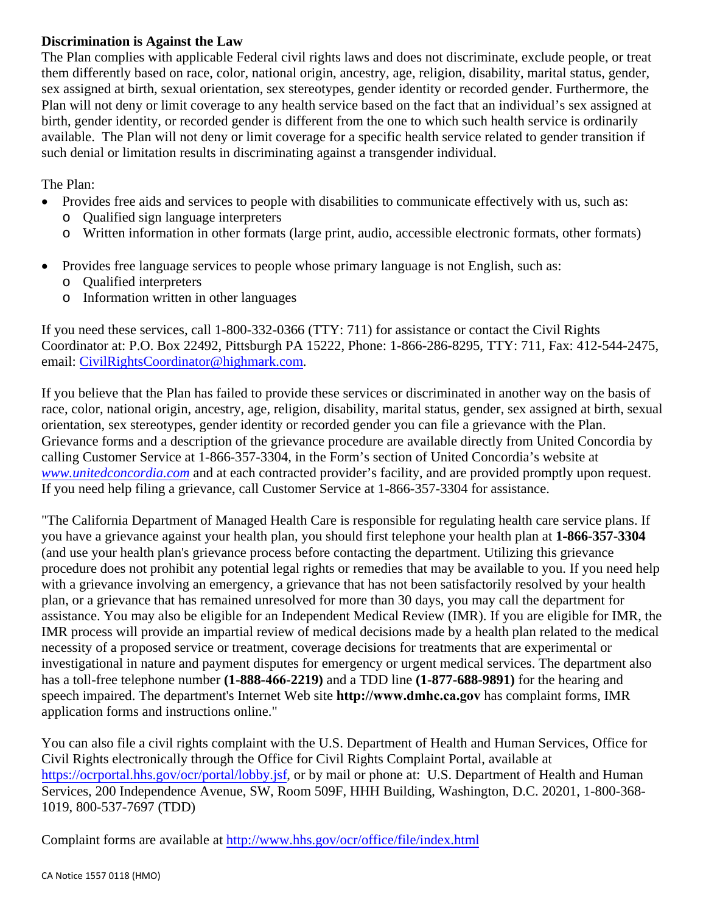## **Discrimination is Against the Law**

The Plan complies with applicable Federal civil rights laws and does not discriminate, exclude people, or treat them differently based on race, color, national origin, ancestry, age, religion, disability, marital status, gender, sex assigned at birth, sexual orientation, sex stereotypes, gender identity or recorded gender. Furthermore, the Plan will not deny or limit coverage to any health service based on the fact that an individual's sex assigned at birth, gender identity, or recorded gender is different from the one to which such health service is ordinarily available. The Plan will not deny or limit coverage for a specific health service related to gender transition if such denial or limitation results in discriminating against a transgender individual.

The Plan:

- Provides free aids and services to people with disabilities to communicate effectively with us, such as:
	- o Qualified sign language interpreters
	- o Written information in other formats (large print, audio, accessible electronic formats, other formats)
- Provides free language services to people whose primary language is not English, such as:
	- o Qualified interpreters
	- o Information written in other languages

If you need these services, call 1-800-332-0366 (TTY: 711) for assistance or contact the Civil Rights Coordinator at: P.O. Box 22492, Pittsburgh PA 15222, Phone: 1-866-286-8295, TTY: 711, Fax: 412-544-2475, email: CivilRightsCoordinator@highmark.com.

If you believe that the Plan has failed to provide these services or discriminated in another way on the basis of race, color, national origin, ancestry, age, religion, disability, marital status, gender, sex assigned at birth, sexual orientation, sex stereotypes, gender identity or recorded gender you can file a grievance with the Plan. Grievance forms and a description of the grievance procedure are available directly from United Concordia by calling Customer Service at 1-866-357-3304, in the Form's section of United Concordia's website at *www.unitedconcordia.com* and at each contracted provider's facility, and are provided promptly upon request. If you need help filing a grievance, call Customer Service at 1-866-357-3304 for assistance.

"The California Department of Managed Health Care is responsible for regulating health care service plans. If you have a grievance against your health plan, you should first telephone your health plan at **1-866-357-3304** (and use your health plan's grievance process before contacting the department. Utilizing this grievance procedure does not prohibit any potential legal rights or remedies that may be available to you. If you need help with a grievance involving an emergency, a grievance that has not been satisfactorily resolved by your health plan, or a grievance that has remained unresolved for more than 30 days, you may call the department for assistance. You may also be eligible for an Independent Medical Review (IMR). If you are eligible for IMR, the IMR process will provide an impartial review of medical decisions made by a health plan related to the medical necessity of a proposed service or treatment, coverage decisions for treatments that are experimental or investigational in nature and payment disputes for emergency or urgent medical services. The department also has a toll-free telephone number **(1-888-466-2219)** and a TDD line **(1-877-688-9891)** for the hearing and speech impaired. The department's Internet Web site **http://www.dmhc.ca.gov** has complaint forms, IMR application forms and instructions online."

You can also file a civil rights complaint with the U.S. Department of Health and Human Services, Office for Civil Rights electronically through the Office for Civil Rights Complaint Portal, available at https://ocrportal.hhs.gov/ocr/portal/lobby.jsf, or by mail or phone at: U.S. Department of Health and Human Services, 200 Independence Avenue, SW, Room 509F, HHH Building, Washington, D.C. 20201, 1-800-368- 1019, 800-537-7697 (TDD)

Complaint forms are available at http://www.hhs.gov/ocr/office/file/index.html